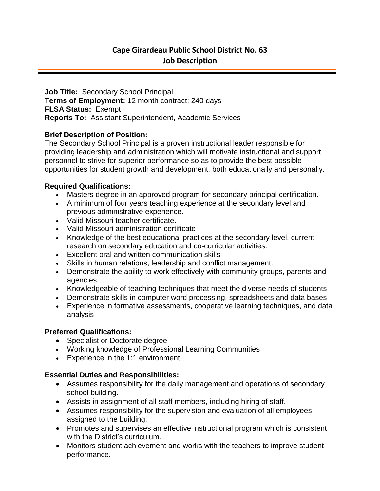**Job Title:** Secondary School Principal **Terms of Employment:** 12 month contract; 240 days **FLSA Status:** Exempt **Reports To:** Assistant Superintendent, Academic Services

## **Brief Description of Position:**

The Secondary School Principal is a proven instructional leader responsible for providing leadership and administration which will motivate instructional and support personnel to strive for superior performance so as to provide the best possible opportunities for student growth and development, both educationally and personally.

### **Required Qualifications:**

- Masters degree in an approved program for secondary principal certification.
- A minimum of four years teaching experience at the secondary level and previous administrative experience.
- Valid Missouri teacher certificate.
- Valid Missouri administration certificate
- Knowledge of the best educational practices at the secondary level, current research on secondary education and co-curricular activities.
- Excellent oral and written communication skills
- Skills in human relations, leadership and conflict management.
- Demonstrate the ability to work effectively with community groups, parents and agencies.
- Knowledgeable of teaching techniques that meet the diverse needs of students
- Demonstrate skills in computer word processing, spreadsheets and data bases
- Experience in formative assessments, cooperative learning techniques, and data analysis

## **Preferred Qualifications:**

- Specialist or Doctorate degree
- Working knowledge of Professional Learning Communities
- Experience in the 1:1 environment

## **Essential Duties and Responsibilities:**

- Assumes responsibility for the daily management and operations of secondary school building.
- Assists in assignment of all staff members, including hiring of staff.
- Assumes responsibility for the supervision and evaluation of all employees assigned to the building.
- Promotes and supervises an effective instructional program which is consistent with the District's curriculum.
- Monitors student achievement and works with the teachers to improve student performance.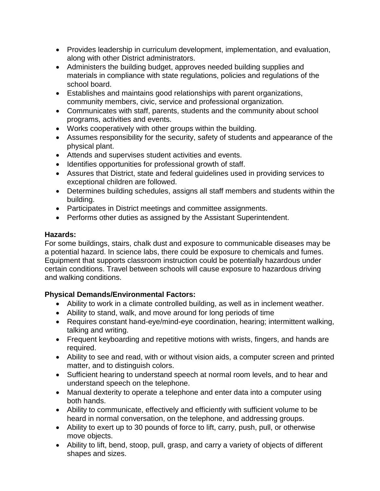- Provides leadership in curriculum development, implementation, and evaluation, along with other District administrators.
- Administers the building budget, approves needed building supplies and materials in compliance with state regulations, policies and regulations of the school board.
- Establishes and maintains good relationships with parent organizations, community members, civic, service and professional organization.
- Communicates with staff, parents, students and the community about school programs, activities and events.
- Works cooperatively with other groups within the building.
- Assumes responsibility for the security, safety of students and appearance of the physical plant.
- Attends and supervises student activities and events.
- Identifies opportunities for professional growth of staff.
- Assures that District, state and federal guidelines used in providing services to exceptional children are followed.
- Determines building schedules, assigns all staff members and students within the building.
- Participates in District meetings and committee assignments.
- Performs other duties as assigned by the Assistant Superintendent.

## **Hazards:**

For some buildings, stairs, chalk dust and exposure to communicable diseases may be a potential hazard. In science labs, there could be exposure to chemicals and fumes. Equipment that supports classroom instruction could be potentially hazardous under certain conditions. Travel between schools will cause exposure to hazardous driving and walking conditions.

# **Physical Demands/Environmental Factors:**

- Ability to work in a climate controlled building, as well as in inclement weather.
- Ability to stand, walk, and move around for long periods of time
- Requires constant hand-eye/mind-eye coordination, hearing; intermittent walking, talking and writing.
- Frequent keyboarding and repetitive motions with wrists, fingers, and hands are required.
- Ability to see and read, with or without vision aids, a computer screen and printed matter, and to distinguish colors.
- Sufficient hearing to understand speech at normal room levels, and to hear and understand speech on the telephone.
- Manual dexterity to operate a telephone and enter data into a computer using both hands.
- Ability to communicate, effectively and efficiently with sufficient volume to be heard in normal conversation, on the telephone, and addressing groups.
- Ability to exert up to 30 pounds of force to lift, carry, push, pull, or otherwise move objects.
- Ability to lift, bend, stoop, pull, grasp, and carry a variety of objects of different shapes and sizes.